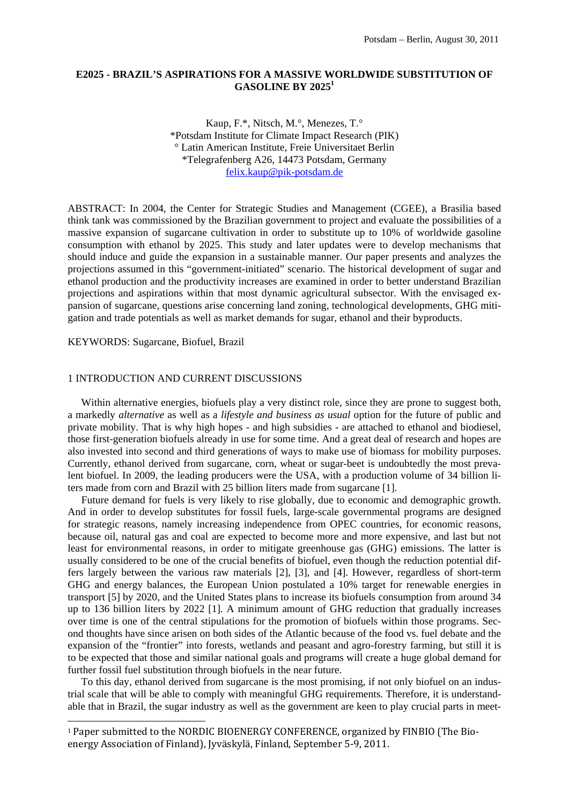# **E2025 - BRAZIL'S ASPIRATIONS FOR A MASSIVE WORLDWIDE SUBSTITUTION OF GASOLINE BY 20251**

Kaup, F.\*, Nitsch, M.°, Menezes, T.° \*Potsdam Institute for Climate Impact Research (PIK) ° Latin American Institute, Freie Universitaet Berlin \*Telegrafenberg A26, 14473 Potsdam, Germany felix.kaup@pik-potsdam.de

ABSTRACT: In 2004, the Center for Strategic Studies and Management (CGEE), a Brasilia based think tank was commissioned by the Brazilian government to project and evaluate the possibilities of a massive expansion of sugarcane cultivation in order to substitute up to 10% of worldwide gasoline consumption with ethanol by 2025. This study and later updates were to develop mechanisms that should induce and guide the expansion in a sustainable manner. Our paper presents and analyzes the projections assumed in this "government-initiated" scenario. The historical development of sugar and ethanol production and the productivity increases are examined in order to better understand Brazilian projections and aspirations within that most dynamic agricultural subsector. With the envisaged expansion of sugarcane, questions arise concerning land zoning, technological developments, GHG mitigation and trade potentials as well as market demands for sugar, ethanol and their byproducts.

KEYWORDS: Sugarcane, Biofuel, Brazil

1

## 1 INTRODUCTION AND CURRENT DISCUSSIONS

Within alternative energies, biofuels play a very distinct role, since they are prone to suggest both, a markedly *alternative* as well as a *lifestyle and business as usual* option for the future of public and private mobility. That is why high hopes - and high subsidies - are attached to ethanol and biodiesel, those first-generation biofuels already in use for some time. And a great deal of research and hopes are also invested into second and third generations of ways to make use of biomass for mobility purposes. Currently, ethanol derived from sugarcane, corn, wheat or sugar-beet is undoubtedly the most prevalent biofuel. In 2009, the leading producers were the USA, with a production volume of 34 billion liters made from corn and Brazil with 25 billion liters made from sugarcane [1].

 Future demand for fuels is very likely to rise globally, due to economic and demographic growth. And in order to develop substitutes for fossil fuels, large-scale governmental programs are designed for strategic reasons, namely increasing independence from OPEC countries, for economic reasons, because oil, natural gas and coal are expected to become more and more expensive, and last but not least for environmental reasons, in order to mitigate greenhouse gas (GHG) emissions. The latter is usually considered to be one of the crucial benefits of biofuel, even though the reduction potential differs largely between the various raw materials [2], [3], and [4]. However, regardless of short-term GHG and energy balances, the European Union postulated a 10% target for renewable energies in transport [5] by 2020, and the United States plans to increase its biofuels consumption from around 34 up to 136 billion liters by 2022 [1]. A minimum amount of GHG reduction that gradually increases over time is one of the central stipulations for the promotion of biofuels within those programs. Second thoughts have since arisen on both sides of the Atlantic because of the food vs. fuel debate and the expansion of the "frontier" into forests, wetlands and peasant and agro-forestry farming, but still it is to be expected that those and similar national goals and programs will create a huge global demand for further fossil fuel substitution through biofuels in the near future.

 To this day, ethanol derived from sugarcane is the most promising, if not only biofuel on an industrial scale that will be able to comply with meaningful GHG requirements. Therefore, it is understandable that in Brazil, the sugar industry as well as the government are keen to play crucial parts in meet-

<sup>1</sup> Paper submitted to the NORDIC BIOENERGY CONFERENCE, organized by FINBIO (The Bio‐ energy Association of Finland), Jyväskylä, Finland, September 5‐9, 2011.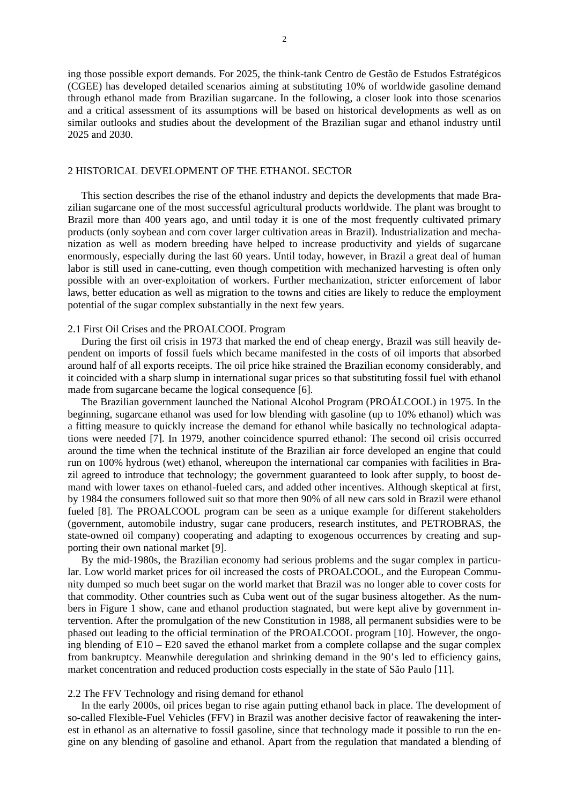ing those possible export demands. For 2025, the think-tank Centro de Gestão de Estudos Estratégicos (CGEE) has developed detailed scenarios aiming at substituting 10% of worldwide gasoline demand through ethanol made from Brazilian sugarcane. In the following, a closer look into those scenarios and a critical assessment of its assumptions will be based on historical developments as well as on similar outlooks and studies about the development of the Brazilian sugar and ethanol industry until 2025 and 2030.

## 2 HISTORICAL DEVELOPMENT OF THE ETHANOL SECTOR

 This section describes the rise of the ethanol industry and depicts the developments that made Brazilian sugarcane one of the most successful agricultural products worldwide. The plant was brought to Brazil more than 400 years ago, and until today it is one of the most frequently cultivated primary products (only soybean and corn cover larger cultivation areas in Brazil). Industrialization and mechanization as well as modern breeding have helped to increase productivity and yields of sugarcane enormously, especially during the last 60 years. Until today, however, in Brazil a great deal of human labor is still used in cane-cutting, even though competition with mechanized harvesting is often only possible with an over-exploitation of workers. Further mechanization, stricter enforcement of labor laws, better education as well as migration to the towns and cities are likely to reduce the employment potential of the sugar complex substantially in the next few years.

## 2.1 First Oil Crises and the PROALCOOL Program

 During the first oil crisis in 1973 that marked the end of cheap energy, Brazil was still heavily dependent on imports of fossil fuels which became manifested in the costs of oil imports that absorbed around half of all exports receipts. The oil price hike strained the Brazilian economy considerably, and it coincided with a sharp slump in international sugar prices so that substituting fossil fuel with ethanol made from sugarcane became the logical consequence [6].

 The Brazilian government launched the National Alcohol Program (PROÁLCOOL) in 1975. In the beginning, sugarcane ethanol was used for low blending with gasoline (up to 10% ethanol) which was a fitting measure to quickly increase the demand for ethanol while basically no technological adaptations were needed [7]. In 1979, another coincidence spurred ethanol: The second oil crisis occurred around the time when the technical institute of the Brazilian air force developed an engine that could run on 100% hydrous (wet) ethanol, whereupon the international car companies with facilities in Brazil agreed to introduce that technology; the government guaranteed to look after supply, to boost demand with lower taxes on ethanol-fueled cars, and added other incentives. Although skeptical at first, by 1984 the consumers followed suit so that more then 90% of all new cars sold in Brazil were ethanol fueled [8]. The PROALCOOL program can be seen as a unique example for different stakeholders (government, automobile industry, sugar cane producers, research institutes, and PETROBRAS, the state-owned oil company) cooperating and adapting to exogenous occurrences by creating and supporting their own national market [9].

 By the mid-1980s, the Brazilian economy had serious problems and the sugar complex in particular. Low world market prices for oil increased the costs of PROALCOOL, and the European Community dumped so much beet sugar on the world market that Brazil was no longer able to cover costs for that commodity. Other countries such as Cuba went out of the sugar business altogether. As the numbers in Figure 1 show, cane and ethanol production stagnated, but were kept alive by government intervention. After the promulgation of the new Constitution in 1988, all permanent subsidies were to be phased out leading to the official termination of the PROALCOOL program [10]. However, the ongoing blending of E10 – E20 saved the ethanol market from a complete collapse and the sugar complex from bankruptcy. Meanwhile deregulation and shrinking demand in the 90's led to efficiency gains, market concentration and reduced production costs especially in the state of São Paulo [11].

## 2.2 The FFV Technology and rising demand for ethanol

 In the early 2000s, oil prices began to rise again putting ethanol back in place. The development of so-called Flexible-Fuel Vehicles (FFV) in Brazil was another decisive factor of reawakening the interest in ethanol as an alternative to fossil gasoline, since that technology made it possible to run the engine on any blending of gasoline and ethanol. Apart from the regulation that mandated a blending of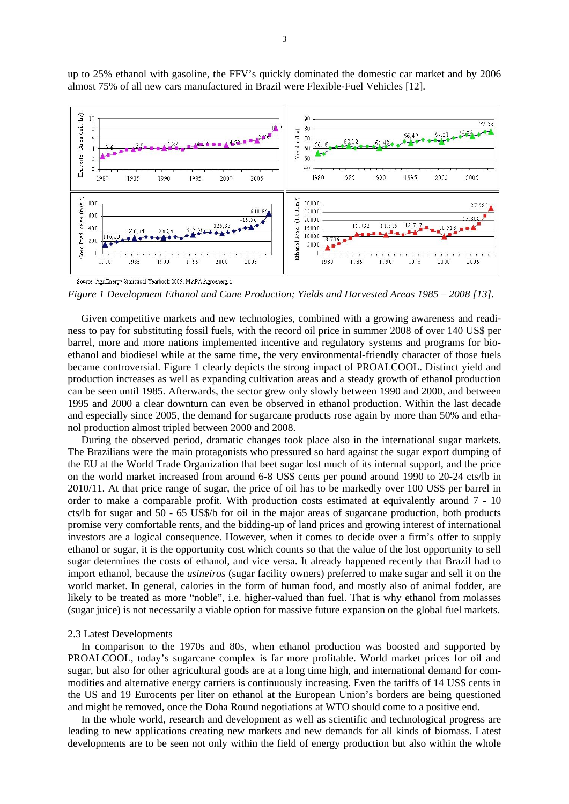

up to 25% ethanol with gasoline, the FFV's quickly dominated the domestic car market and by 2006 almost 75% of all new cars manufactured in Brazil were Flexible-Fuel Vehicles [12].

*Figure 1 Development Ethanol and Cane Production; Yields and Harvested Areas 1985 – 2008 [13].* 

 Given competitive markets and new technologies, combined with a growing awareness and readiness to pay for substituting fossil fuels, with the record oil price in summer 2008 of over 140 US\$ per barrel, more and more nations implemented incentive and regulatory systems and programs for bioethanol and biodiesel while at the same time, the very environmental-friendly character of those fuels became controversial. Figure 1 clearly depicts the strong impact of PROALCOOL. Distinct yield and production increases as well as expanding cultivation areas and a steady growth of ethanol production can be seen until 1985. Afterwards, the sector grew only slowly between 1990 and 2000, and between 1995 and 2000 a clear downturn can even be observed in ethanol production. Within the last decade and especially since 2005, the demand for sugarcane products rose again by more than 50% and ethanol production almost tripled between 2000 and 2008.

 During the observed period, dramatic changes took place also in the international sugar markets. The Brazilians were the main protagonists who pressured so hard against the sugar export dumping of the EU at the World Trade Organization that beet sugar lost much of its internal support, and the price on the world market increased from around 6-8 US\$ cents per pound around 1990 to 20-24 cts/lb in 2010/11. At that price range of sugar, the price of oil has to be markedly over 100 US\$ per barrel in order to make a comparable profit. With production costs estimated at equivalently around 7 - 10 cts/lb for sugar and 50 - 65 US\$/b for oil in the major areas of sugarcane production, both products promise very comfortable rents, and the bidding-up of land prices and growing interest of international investors are a logical consequence. However, when it comes to decide over a firm's offer to supply ethanol or sugar, it is the opportunity cost which counts so that the value of the lost opportunity to sell sugar determines the costs of ethanol, and vice versa. It already happened recently that Brazil had to import ethanol, because the *usineiros* (sugar facility owners) preferred to make sugar and sell it on the world market. In general, calories in the form of human food, and mostly also of animal fodder, are likely to be treated as more "noble", i.e. higher-valued than fuel. That is why ethanol from molasses (sugar juice) is not necessarily a viable option for massive future expansion on the global fuel markets.

## 2.3 Latest Developments

 In comparison to the 1970s and 80s, when ethanol production was boosted and supported by PROALCOOL, today's sugarcane complex is far more profitable. World market prices for oil and sugar, but also for other agricultural goods are at a long time high, and international demand for commodities and alternative energy carriers is continuously increasing. Even the tariffs of 14 US\$ cents in the US and 19 Eurocents per liter on ethanol at the European Union's borders are being questioned and might be removed, once the Doha Round negotiations at WTO should come to a positive end.

 In the whole world, research and development as well as scientific and technological progress are leading to new applications creating new markets and new demands for all kinds of biomass. Latest developments are to be seen not only within the field of energy production but also within the whole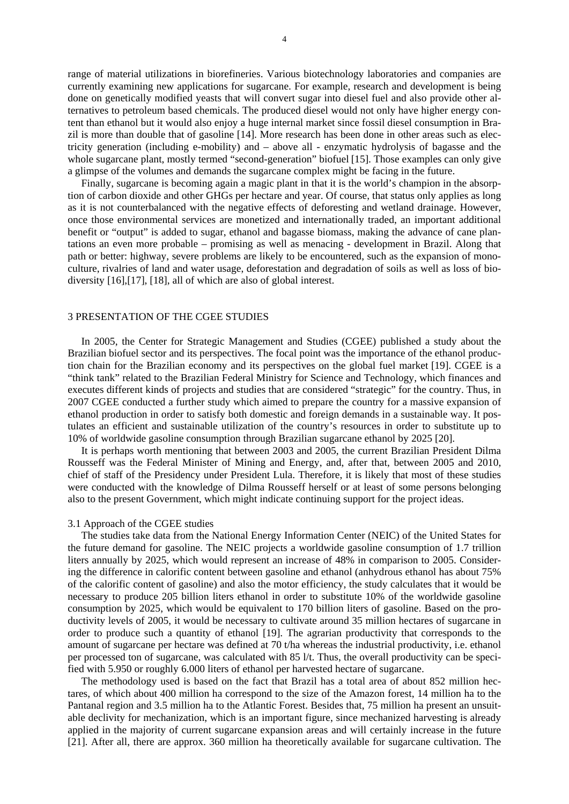range of material utilizations in biorefineries. Various biotechnology laboratories and companies are currently examining new applications for sugarcane. For example, research and development is being done on genetically modified yeasts that will convert sugar into diesel fuel and also provide other alternatives to petroleum based chemicals. The produced diesel would not only have higher energy content than ethanol but it would also enjoy a huge internal market since fossil diesel consumption in Brazil is more than double that of gasoline [14]. More research has been done in other areas such as electricity generation (including e-mobility) and – above all - enzymatic hydrolysis of bagasse and the whole sugarcane plant, mostly termed "second-generation" biofuel [15]. Those examples can only give a glimpse of the volumes and demands the sugarcane complex might be facing in the future.

 Finally, sugarcane is becoming again a magic plant in that it is the world's champion in the absorption of carbon dioxide and other GHGs per hectare and year. Of course, that status only applies as long as it is not counterbalanced with the negative effects of deforesting and wetland drainage. However, once those environmental services are monetized and internationally traded, an important additional benefit or "output" is added to sugar, ethanol and bagasse biomass, making the advance of cane plantations an even more probable – promising as well as menacing - development in Brazil. Along that path or better: highway, severe problems are likely to be encountered, such as the expansion of monoculture, rivalries of land and water usage, deforestation and degradation of soils as well as loss of biodiversity [16],[17], [18], all of which are also of global interest.

## 3 PRESENTATION OF THE CGEE STUDIES

 In 2005, the Center for Strategic Management and Studies (CGEE) published a study about the Brazilian biofuel sector and its perspectives. The focal point was the importance of the ethanol production chain for the Brazilian economy and its perspectives on the global fuel market [19]. CGEE is a "think tank" related to the Brazilian Federal Ministry for Science and Technology, which finances and executes different kinds of projects and studies that are considered "strategic" for the country. Thus, in 2007 CGEE conducted a further study which aimed to prepare the country for a massive expansion of ethanol production in order to satisfy both domestic and foreign demands in a sustainable way. It postulates an efficient and sustainable utilization of the country's resources in order to substitute up to 10% of worldwide gasoline consumption through Brazilian sugarcane ethanol by 2025 [20].

 It is perhaps worth mentioning that between 2003 and 2005, the current Brazilian President Dilma Rousseff was the Federal Minister of Mining and Energy, and, after that, between 2005 and 2010, chief of staff of the Presidency under President Lula. Therefore, it is likely that most of these studies were conducted with the knowledge of Dilma Rousseff herself or at least of some persons belonging also to the present Government, which might indicate continuing support for the project ideas.

#### 3.1 Approach of the CGEE studies

 The studies take data from the National Energy Information Center (NEIC) of the United States for the future demand for gasoline. The NEIC projects a worldwide gasoline consumption of 1.7 trillion liters annually by 2025, which would represent an increase of 48% in comparison to 2005. Considering the difference in calorific content between gasoline and ethanol (anhydrous ethanol has about 75% of the calorific content of gasoline) and also the motor efficiency, the study calculates that it would be necessary to produce 205 billion liters ethanol in order to substitute 10% of the worldwide gasoline consumption by 2025, which would be equivalent to 170 billion liters of gasoline. Based on the productivity levels of 2005, it would be necessary to cultivate around 35 million hectares of sugarcane in order to produce such a quantity of ethanol [19]. The agrarian productivity that corresponds to the amount of sugarcane per hectare was defined at 70 t/ha whereas the industrial productivity, i.e. ethanol per processed ton of sugarcane, was calculated with 85 l/t. Thus, the overall productivity can be specified with 5.950 or roughly 6.000 liters of ethanol per harvested hectare of sugarcane.

 The methodology used is based on the fact that Brazil has a total area of about 852 million hectares, of which about 400 million ha correspond to the size of the Amazon forest, 14 million ha to the Pantanal region and 3.5 million ha to the Atlantic Forest. Besides that, 75 million ha present an unsuitable declivity for mechanization, which is an important figure, since mechanized harvesting is already applied in the majority of current sugarcane expansion areas and will certainly increase in the future [21]. After all, there are approx. 360 million ha theoretically available for sugarcane cultivation. The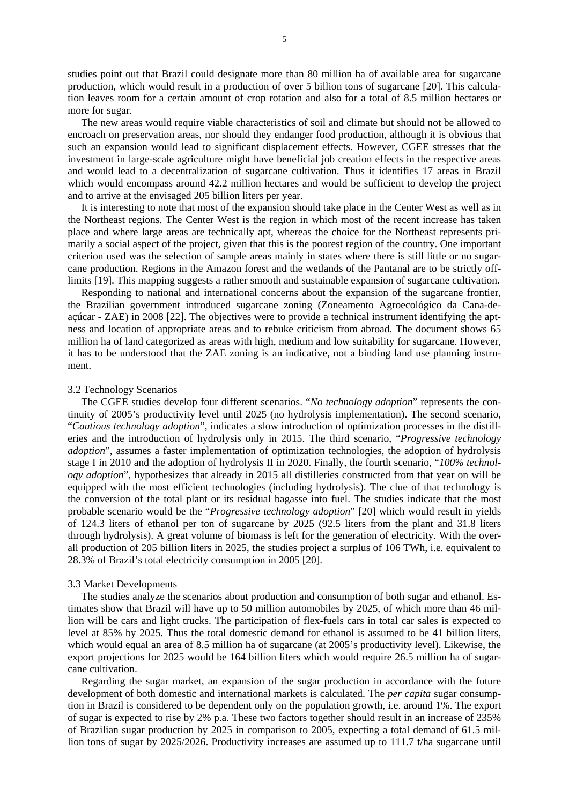studies point out that Brazil could designate more than 80 million ha of available area for sugarcane production, which would result in a production of over 5 billion tons of sugarcane [20]. This calculation leaves room for a certain amount of crop rotation and also for a total of 8.5 million hectares or more for sugar.

 The new areas would require viable characteristics of soil and climate but should not be allowed to encroach on preservation areas, nor should they endanger food production, although it is obvious that such an expansion would lead to significant displacement effects. However, CGEE stresses that the investment in large-scale agriculture might have beneficial job creation effects in the respective areas and would lead to a decentralization of sugarcane cultivation. Thus it identifies 17 areas in Brazil which would encompass around 42.2 million hectares and would be sufficient to develop the project and to arrive at the envisaged 205 billion liters per year.

 It is interesting to note that most of the expansion should take place in the Center West as well as in the Northeast regions. The Center West is the region in which most of the recent increase has taken place and where large areas are technically apt, whereas the choice for the Northeast represents primarily a social aspect of the project, given that this is the poorest region of the country. One important criterion used was the selection of sample areas mainly in states where there is still little or no sugarcane production. Regions in the Amazon forest and the wetlands of the Pantanal are to be strictly offlimits [19]. This mapping suggests a rather smooth and sustainable expansion of sugarcane cultivation.

 Responding to national and international concerns about the expansion of the sugarcane frontier, the Brazilian government introduced sugarcane zoning (Zoneamento Agroecológico da Cana-deaçúcar - ZAE) in 2008 [22]. The objectives were to provide a technical instrument identifying the aptness and location of appropriate areas and to rebuke criticism from abroad. The document shows 65 million ha of land categorized as areas with high, medium and low suitability for sugarcane. However, it has to be understood that the ZAE zoning is an indicative, not a binding land use planning instrument.

#### 3.2 Technology Scenarios

 The CGEE studies develop four different scenarios. "*No technology adoption*" represents the continuity of 2005's productivity level until 2025 (no hydrolysis implementation). The second scenario, "*Cautious technology adoption*", indicates a slow introduction of optimization processes in the distilleries and the introduction of hydrolysis only in 2015. The third scenario, "*Progressive technology adoption*", assumes a faster implementation of optimization technologies, the adoption of hydrolysis stage I in 2010 and the adoption of hydrolysis II in 2020. Finally, the fourth scenario, "*100% technology adoption*", hypothesizes that already in 2015 all distilleries constructed from that year on will be equipped with the most efficient technologies (including hydrolysis). The clue of that technology is the conversion of the total plant or its residual bagasse into fuel. The studies indicate that the most probable scenario would be the "*Progressive technology adoption*" [20] which would result in yields of 124.3 liters of ethanol per ton of sugarcane by 2025 (92.5 liters from the plant and 31.8 liters through hydrolysis). A great volume of biomass is left for the generation of electricity. With the overall production of 205 billion liters in 2025, the studies project a surplus of 106 TWh, i.e. equivalent to 28.3% of Brazil's total electricity consumption in 2005 [20].

#### 3.3 Market Developments

 The studies analyze the scenarios about production and consumption of both sugar and ethanol. Estimates show that Brazil will have up to 50 million automobiles by 2025, of which more than 46 million will be cars and light trucks. The participation of flex-fuels cars in total car sales is expected to level at 85% by 2025. Thus the total domestic demand for ethanol is assumed to be 41 billion liters, which would equal an area of 8.5 million ha of sugarcane (at 2005's productivity level). Likewise, the export projections for 2025 would be 164 billion liters which would require 26.5 million ha of sugarcane cultivation.

 Regarding the sugar market, an expansion of the sugar production in accordance with the future development of both domestic and international markets is calculated. The *per capita* sugar consumption in Brazil is considered to be dependent only on the population growth, i.e. around 1%. The export of sugar is expected to rise by 2% p.a. These two factors together should result in an increase of 235% of Brazilian sugar production by 2025 in comparison to 2005, expecting a total demand of 61.5 million tons of sugar by 2025/2026. Productivity increases are assumed up to 111.7 t/ha sugarcane until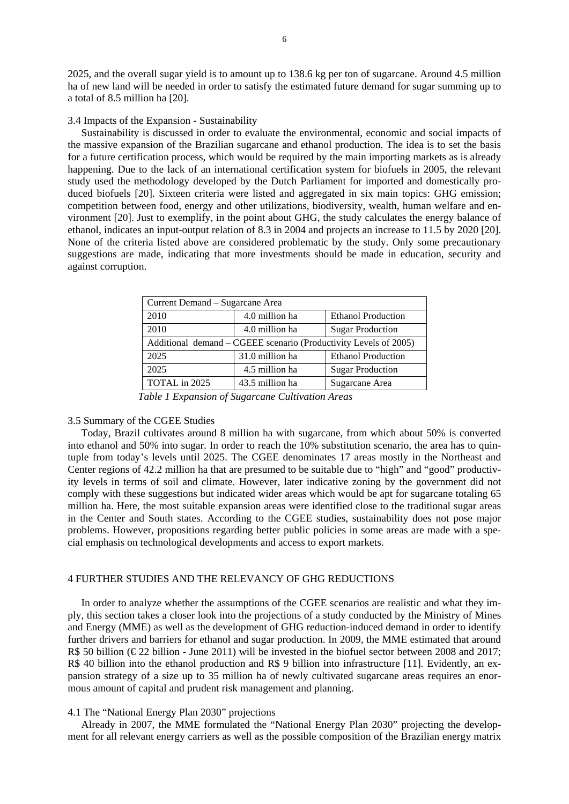2025, and the overall sugar yield is to amount up to 138.6 kg per ton of sugarcane. Around 4.5 million ha of new land will be needed in order to satisfy the estimated future demand for sugar summing up to a total of 8.5 million ha [20].

## 3.4 Impacts of the Expansion - Sustainability

 Sustainability is discussed in order to evaluate the environmental, economic and social impacts of the massive expansion of the Brazilian sugarcane and ethanol production. The idea is to set the basis for a future certification process, which would be required by the main importing markets as is already happening. Due to the lack of an international certification system for biofuels in 2005, the relevant study used the methodology developed by the Dutch Parliament for imported and domestically produced biofuels [20]. Sixteen criteria were listed and aggregated in six main topics: GHG emission; competition between food, energy and other utilizations, biodiversity, wealth, human welfare and environment [20]. Just to exemplify, in the point about GHG, the study calculates the energy balance of ethanol, indicates an input-output relation of 8.3 in 2004 and projects an increase to 11.5 by 2020 [20]. None of the criteria listed above are considered problematic by the study. Only some precautionary suggestions are made, indicating that more investments should be made in education, security and against corruption.

| Current Demand – Sugarcane Area                                  |                 |                           |
|------------------------------------------------------------------|-----------------|---------------------------|
| 2010                                                             | 4.0 million ha  | <b>Ethanol Production</b> |
| 2010                                                             | 4.0 million ha  | <b>Sugar Production</b>   |
| Additional demand – CGEEE scenario (Productivity Levels of 2005) |                 |                           |
| 2025                                                             | 31.0 million ha | <b>Ethanol Production</b> |
| 2025                                                             | 4.5 million ha  | <b>Sugar Production</b>   |
| TOTAL in 2025                                                    | 43.5 million ha | Sugarcane Area            |

 *Table 1 Expansion of Sugarcane Cultivation Areas* 

## 3.5 Summary of the CGEE Studies

 Today, Brazil cultivates around 8 million ha with sugarcane, from which about 50% is converted into ethanol and 50% into sugar. In order to reach the 10% substitution scenario, the area has to quintuple from today's levels until 2025. The CGEE denominates 17 areas mostly in the Northeast and Center regions of 42.2 million ha that are presumed to be suitable due to "high" and "good" productivity levels in terms of soil and climate. However, later indicative zoning by the government did not comply with these suggestions but indicated wider areas which would be apt for sugarcane totaling 65 million ha. Here, the most suitable expansion areas were identified close to the traditional sugar areas in the Center and South states. According to the CGEE studies, sustainability does not pose major problems. However, propositions regarding better public policies in some areas are made with a special emphasis on technological developments and access to export markets.

## 4 FURTHER STUDIES AND THE RELEVANCY OF GHG REDUCTIONS

 In order to analyze whether the assumptions of the CGEE scenarios are realistic and what they imply, this section takes a closer look into the projections of a study conducted by the Ministry of Mines and Energy (MME) as well as the development of GHG reduction-induced demand in order to identify further drivers and barriers for ethanol and sugar production. In 2009, the MME estimated that around R\$ 50 billion ( $\epsilon$ 22 billion - June 2011) will be invested in the biofuel sector between 2008 and 2017; R\$ 40 billion into the ethanol production and R\$ 9 billion into infrastructure [11]. Evidently, an expansion strategy of a size up to 35 million ha of newly cultivated sugarcane areas requires an enormous amount of capital and prudent risk management and planning.

## 4.1 The "National Energy Plan 2030" projections

 Already in 2007, the MME formulated the "National Energy Plan 2030" projecting the development for all relevant energy carriers as well as the possible composition of the Brazilian energy matrix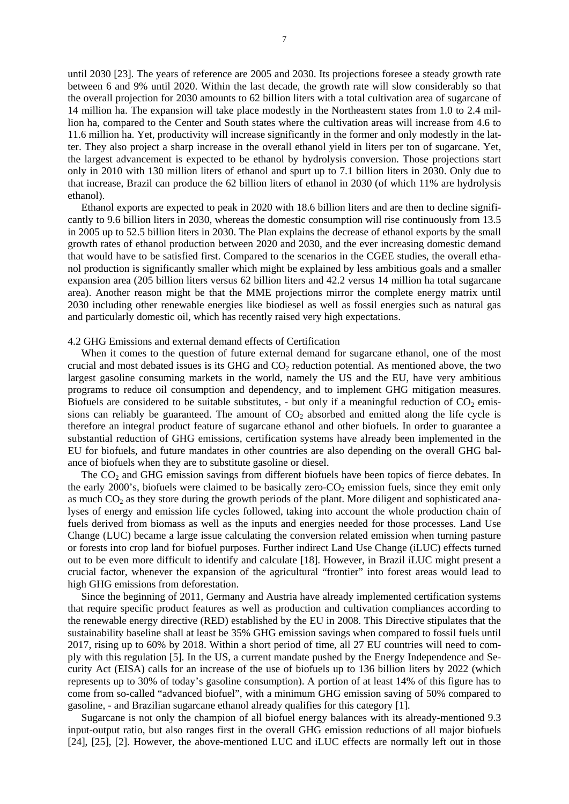until 2030 [23]. The years of reference are 2005 and 2030. Its projections foresee a steady growth rate between 6 and 9% until 2020. Within the last decade, the growth rate will slow considerably so that the overall projection for 2030 amounts to 62 billion liters with a total cultivation area of sugarcane of 14 million ha. The expansion will take place modestly in the Northeastern states from 1.0 to 2.4 million ha, compared to the Center and South states where the cultivation areas will increase from 4.6 to 11.6 million ha. Yet, productivity will increase significantly in the former and only modestly in the latter. They also project a sharp increase in the overall ethanol yield in liters per ton of sugarcane. Yet, the largest advancement is expected to be ethanol by hydrolysis conversion. Those projections start only in 2010 with 130 million liters of ethanol and spurt up to 7.1 billion liters in 2030. Only due to that increase, Brazil can produce the 62 billion liters of ethanol in 2030 (of which 11% are hydrolysis ethanol).

 Ethanol exports are expected to peak in 2020 with 18.6 billion liters and are then to decline significantly to 9.6 billion liters in 2030, whereas the domestic consumption will rise continuously from 13.5 in 2005 up to 52.5 billion liters in 2030. The Plan explains the decrease of ethanol exports by the small growth rates of ethanol production between 2020 and 2030, and the ever increasing domestic demand that would have to be satisfied first. Compared to the scenarios in the CGEE studies, the overall ethanol production is significantly smaller which might be explained by less ambitious goals and a smaller expansion area (205 billion liters versus 62 billion liters and 42.2 versus 14 million ha total sugarcane area). Another reason might be that the MME projections mirror the complete energy matrix until 2030 including other renewable energies like biodiesel as well as fossil energies such as natural gas and particularly domestic oil, which has recently raised very high expectations.

## 4.2 GHG Emissions and external demand effects of Certification

When it comes to the question of future external demand for sugarcane ethanol, one of the most crucial and most debated issues is its GHG and  $CO<sub>2</sub>$  reduction potential. As mentioned above, the two largest gasoline consuming markets in the world, namely the US and the EU, have very ambitious programs to reduce oil consumption and dependency, and to implement GHG mitigation measures. Biofuels are considered to be suitable substitutes, - but only if a meaningful reduction of  $CO<sub>2</sub>$  emissions can reliably be guaranteed. The amount of  $CO<sub>2</sub>$  absorbed and emitted along the life cycle is therefore an integral product feature of sugarcane ethanol and other biofuels. In order to guarantee a substantial reduction of GHG emissions, certification systems have already been implemented in the EU for biofuels, and future mandates in other countries are also depending on the overall GHG balance of biofuels when they are to substitute gasoline or diesel.

The  $CO<sub>2</sub>$  and GHG emission savings from different biofuels have been topics of fierce debates. In the early 2000's, biofuels were claimed to be basically zero- $CO<sub>2</sub>$  emission fuels, since they emit only as much  $CO<sub>2</sub>$  as they store during the growth periods of the plant. More diligent and sophisticated analyses of energy and emission life cycles followed, taking into account the whole production chain of fuels derived from biomass as well as the inputs and energies needed for those processes. Land Use Change (LUC) became a large issue calculating the conversion related emission when turning pasture or forests into crop land for biofuel purposes. Further indirect Land Use Change (iLUC) effects turned out to be even more difficult to identify and calculate [18]. However, in Brazil iLUC might present a crucial factor, whenever the expansion of the agricultural "frontier" into forest areas would lead to high GHG emissions from deforestation.

 Since the beginning of 2011, Germany and Austria have already implemented certification systems that require specific product features as well as production and cultivation compliances according to the renewable energy directive (RED) established by the EU in 2008. This Directive stipulates that the sustainability baseline shall at least be 35% GHG emission savings when compared to fossil fuels until 2017, rising up to 60% by 2018. Within a short period of time, all 27 EU countries will need to comply with this regulation [5]. In the US, a current mandate pushed by the Energy Independence and Security Act (EISA) calls for an increase of the use of biofuels up to 136 billion liters by 2022 (which represents up to 30% of today's gasoline consumption). A portion of at least 14% of this figure has to come from so-called "advanced biofuel", with a minimum GHG emission saving of 50% compared to gasoline, - and Brazilian sugarcane ethanol already qualifies for this category [1].

 Sugarcane is not only the champion of all biofuel energy balances with its already-mentioned 9.3 input-output ratio, but also ranges first in the overall GHG emission reductions of all major biofuels [24], [25], [2]. However, the above-mentioned LUC and iLUC effects are normally left out in those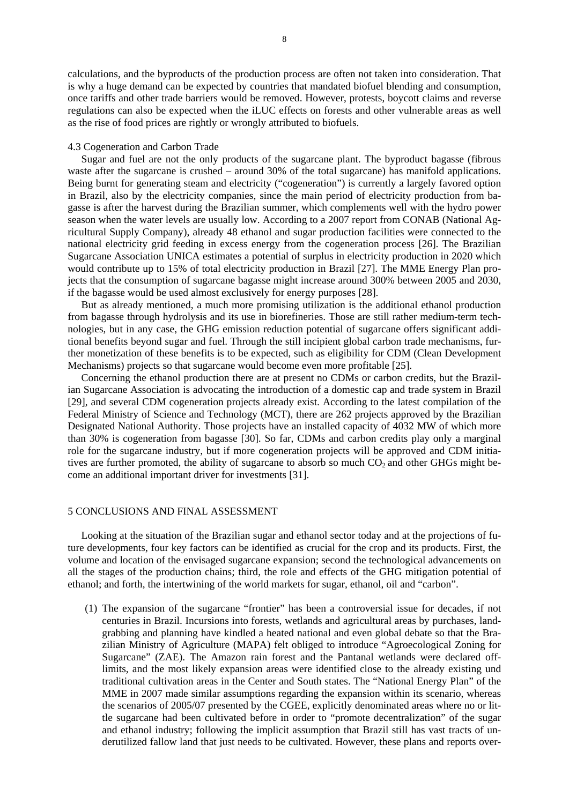calculations, and the byproducts of the production process are often not taken into consideration. That is why a huge demand can be expected by countries that mandated biofuel blending and consumption, once tariffs and other trade barriers would be removed. However, protests, boycott claims and reverse regulations can also be expected when the iLUC effects on forests and other vulnerable areas as well as the rise of food prices are rightly or wrongly attributed to biofuels.

#### 4.3 Cogeneration and Carbon Trade

 Sugar and fuel are not the only products of the sugarcane plant. The byproduct bagasse (fibrous waste after the sugarcane is crushed – around 30% of the total sugarcane) has manifold applications. Being burnt for generating steam and electricity ("cogeneration") is currently a largely favored option in Brazil, also by the electricity companies, since the main period of electricity production from bagasse is after the harvest during the Brazilian summer, which complements well with the hydro power season when the water levels are usually low. According to a 2007 report from CONAB (National Agricultural Supply Company), already 48 ethanol and sugar production facilities were connected to the national electricity grid feeding in excess energy from the cogeneration process [26]. The Brazilian Sugarcane Association UNICA estimates a potential of surplus in electricity production in 2020 which would contribute up to 15% of total electricity production in Brazil [27]. The MME Energy Plan projects that the consumption of sugarcane bagasse might increase around 300% between 2005 and 2030, if the bagasse would be used almost exclusively for energy purposes [28].

 But as already mentioned, a much more promising utilization is the additional ethanol production from bagasse through hydrolysis and its use in biorefineries. Those are still rather medium-term technologies, but in any case, the GHG emission reduction potential of sugarcane offers significant additional benefits beyond sugar and fuel. Through the still incipient global carbon trade mechanisms, further monetization of these benefits is to be expected, such as eligibility for CDM (Clean Development Mechanisms) projects so that sugarcane would become even more profitable [25].

 Concerning the ethanol production there are at present no CDMs or carbon credits, but the Brazilian Sugarcane Association is advocating the introduction of a domestic cap and trade system in Brazil [29], and several CDM cogeneration projects already exist. According to the latest compilation of the Federal Ministry of Science and Technology (MCT), there are 262 projects approved by the Brazilian Designated National Authority. Those projects have an installed capacity of 4032 MW of which more than 30% is cogeneration from bagasse [30]. So far, CDMs and carbon credits play only a marginal role for the sugarcane industry, but if more cogeneration projects will be approved and CDM initiatives are further promoted, the ability of sugarcane to absorb so much  $CO<sub>2</sub>$  and other GHGs might become an additional important driver for investments [31].

## 5 CONCLUSIONS AND FINAL ASSESSMENT

 Looking at the situation of the Brazilian sugar and ethanol sector today and at the projections of future developments, four key factors can be identified as crucial for the crop and its products. First, the volume and location of the envisaged sugarcane expansion; second the technological advancements on all the stages of the production chains; third, the role and effects of the GHG mitigation potential of ethanol; and forth, the intertwining of the world markets for sugar, ethanol, oil and "carbon".

(1) The expansion of the sugarcane "frontier" has been a controversial issue for decades, if not centuries in Brazil. Incursions into forests, wetlands and agricultural areas by purchases, landgrabbing and planning have kindled a heated national and even global debate so that the Brazilian Ministry of Agriculture (MAPA) felt obliged to introduce "Agroecological Zoning for Sugarcane" (ZAE). The Amazon rain forest and the Pantanal wetlands were declared offlimits, and the most likely expansion areas were identified close to the already existing und traditional cultivation areas in the Center and South states. The "National Energy Plan" of the MME in 2007 made similar assumptions regarding the expansion within its scenario, whereas the scenarios of 2005/07 presented by the CGEE, explicitly denominated areas where no or little sugarcane had been cultivated before in order to "promote decentralization" of the sugar and ethanol industry; following the implicit assumption that Brazil still has vast tracts of underutilized fallow land that just needs to be cultivated. However, these plans and reports over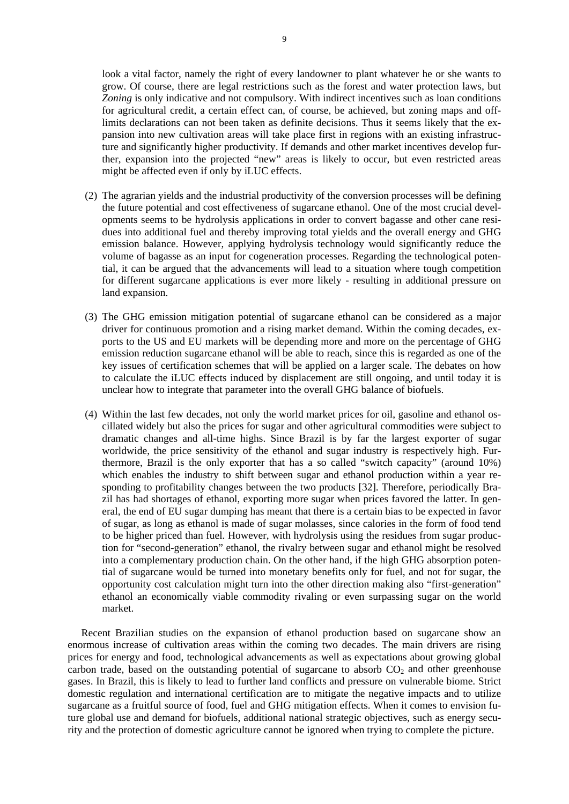look a vital factor, namely the right of every landowner to plant whatever he or she wants to grow. Of course, there are legal restrictions such as the forest and water protection laws, but *Zoning* is only indicative and not compulsory. With indirect incentives such as loan conditions for agricultural credit, a certain effect can, of course, be achieved, but zoning maps and offlimits declarations can not been taken as definite decisions. Thus it seems likely that the expansion into new cultivation areas will take place first in regions with an existing infrastructure and significantly higher productivity. If demands and other market incentives develop further, expansion into the projected "new" areas is likely to occur, but even restricted areas might be affected even if only by iLUC effects.

- (2) The agrarian yields and the industrial productivity of the conversion processes will be defining the future potential and cost effectiveness of sugarcane ethanol. One of the most crucial developments seems to be hydrolysis applications in order to convert bagasse and other cane residues into additional fuel and thereby improving total yields and the overall energy and GHG emission balance. However, applying hydrolysis technology would significantly reduce the volume of bagasse as an input for cogeneration processes. Regarding the technological potential, it can be argued that the advancements will lead to a situation where tough competition for different sugarcane applications is ever more likely - resulting in additional pressure on land expansion.
- (3) The GHG emission mitigation potential of sugarcane ethanol can be considered as a major driver for continuous promotion and a rising market demand. Within the coming decades, exports to the US and EU markets will be depending more and more on the percentage of GHG emission reduction sugarcane ethanol will be able to reach, since this is regarded as one of the key issues of certification schemes that will be applied on a larger scale. The debates on how to calculate the iLUC effects induced by displacement are still ongoing, and until today it is unclear how to integrate that parameter into the overall GHG balance of biofuels.
- (4) Within the last few decades, not only the world market prices for oil, gasoline and ethanol oscillated widely but also the prices for sugar and other agricultural commodities were subject to dramatic changes and all-time highs. Since Brazil is by far the largest exporter of sugar worldwide, the price sensitivity of the ethanol and sugar industry is respectively high. Furthermore, Brazil is the only exporter that has a so called "switch capacity" (around 10%) which enables the industry to shift between sugar and ethanol production within a year responding to profitability changes between the two products [32]. Therefore, periodically Brazil has had shortages of ethanol, exporting more sugar when prices favored the latter. In general, the end of EU sugar dumping has meant that there is a certain bias to be expected in favor of sugar, as long as ethanol is made of sugar molasses, since calories in the form of food tend to be higher priced than fuel. However, with hydrolysis using the residues from sugar production for "second-generation" ethanol, the rivalry between sugar and ethanol might be resolved into a complementary production chain. On the other hand, if the high GHG absorption potential of sugarcane would be turned into monetary benefits only for fuel, and not for sugar, the opportunity cost calculation might turn into the other direction making also "first-generation" ethanol an economically viable commodity rivaling or even surpassing sugar on the world market.

 Recent Brazilian studies on the expansion of ethanol production based on sugarcane show an enormous increase of cultivation areas within the coming two decades. The main drivers are rising prices for energy and food, technological advancements as well as expectations about growing global carbon trade, based on the outstanding potential of sugarcane to absorb  $CO<sub>2</sub>$  and other greenhouse gases. In Brazil, this is likely to lead to further land conflicts and pressure on vulnerable biome. Strict domestic regulation and international certification are to mitigate the negative impacts and to utilize sugarcane as a fruitful source of food, fuel and GHG mitigation effects. When it comes to envision future global use and demand for biofuels, additional national strategic objectives, such as energy security and the protection of domestic agriculture cannot be ignored when trying to complete the picture.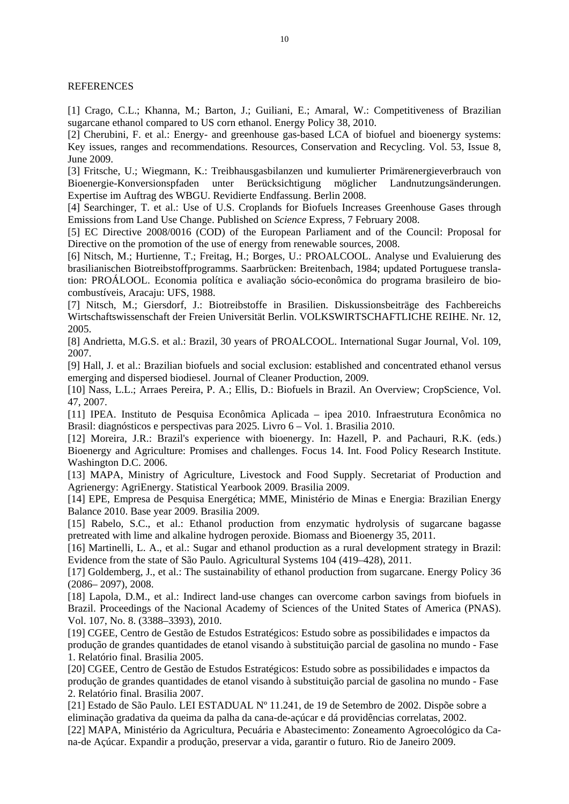**REFERENCES** 

[1] Crago, C.L.; Khanna, M.; Barton, J.; Guiliani, E.; Amaral, W.: Competitiveness of Brazilian sugarcane ethanol compared to US corn ethanol. Energy Policy 38, 2010.

[2] Cherubini, F. et al.: Energy- and greenhouse gas-based LCA of biofuel and bioenergy systems: Key issues, ranges and recommendations. Resources, Conservation and Recycling. Vol. 53, Issue 8, June 2009.

[3] Fritsche, U.; Wiegmann, K.: Treibhausgasbilanzen und kumulierter Primärenergieverbrauch von Bioenergie-Konversionspfaden unter Berücksichtigung möglicher Landnutzungsänderungen. Expertise im Auftrag des WBGU. Revidierte Endfassung. Berlin 2008.

[4] Searchinger, T. et al.: Use of U.S. Croplands for Biofuels Increases Greenhouse Gases through Emissions from Land Use Change. Published on *Science* Express, 7 February 2008.

[5] EC Directive 2008/0016 (COD) of the European Parliament and of the Council: Proposal for Directive on the promotion of the use of energy from renewable sources, 2008.

[6] Nitsch, M.; Hurtienne, T.; Freitag, H.; Borges, U.: PROALCOOL. Analyse und Evaluierung des brasilianischen Biotreibstoffprogramms. Saarbrücken: Breitenbach, 1984; updated Portuguese translation: PROÁLOOL. Economia política e avaliação sócio-econômica do programa brasileiro de biocombustíveis, Aracaju: UFS, 1988.

[7] Nitsch, M.; Giersdorf, J.: Biotreibstoffe in Brasilien. Diskussionsbeiträge des Fachbereichs Wirtschaftswissenschaft der Freien Universität Berlin. VOLKSWIRTSCHAFTLICHE REIHE. Nr. 12, 2005.

[8] Andrietta, M.G.S. et al.: Brazil, 30 years of PROALCOOL. International Sugar Journal, Vol. 109, 2007.

[9] Hall, J. et al.: Brazilian biofuels and social exclusion: established and concentrated ethanol versus emerging and dispersed biodiesel. Journal of Cleaner Production, 2009.

[10] Nass, L.L.; Arraes Pereira, P. A.; Ellis, D.: Biofuels in Brazil. An Overview; CropScience, Vol. 47, 2007.

[11] IPEA. Instituto de Pesquisa Econômica Aplicada – ipea 2010. Infraestrutura Econômica no Brasil: diagnósticos e perspectivas para 2025. Livro 6 – Vol. 1. Brasilia 2010.

[12] Moreira, J.R.: Brazil's experience with bioenergy. In: Hazell, P. and Pachauri, R.K. (eds.) Bioenergy and Agriculture: Promises and challenges. Focus 14. Int. Food Policy Research Institute. Washington D.C. 2006.

[13] MAPA, Ministry of Agriculture, Livestock and Food Supply. Secretariat of Production and Agrienergy: AgriEnergy. Statistical Yearbook 2009. Brasilia 2009.

[14] EPE, Empresa de Pesquisa Energética; MME, Ministério de Minas e Energia: Brazilian Energy Balance 2010. Base year 2009. Brasilia 2009.

[15] Rabelo, S.C., et al.: Ethanol production from enzymatic hydrolysis of sugarcane bagasse pretreated with lime and alkaline hydrogen peroxide. Biomass and Bioenergy 35, 2011.

[16] Martinelli, L. A., et al.: Sugar and ethanol production as a rural development strategy in Brazil: Evidence from the state of São Paulo. Agricultural Systems 104 (419–428), 2011.

[17] Goldemberg, J., et al.: The sustainability of ethanol production from sugarcane. Energy Policy 36 (2086– 2097), 2008.

[18] Lapola, D.M., et al.: Indirect land-use changes can overcome carbon savings from biofuels in Brazil. Proceedings of the Nacional Academy of Sciences of the United States of America (PNAS). Vol. 107, No. 8. (3388–3393), 2010.

[19] CGEE, Centro de Gestão de Estudos Estratégicos: Estudo sobre as possibilidades e impactos da produção de grandes quantidades de etanol visando à substituição parcial de gasolina no mundo - Fase 1. Relatório final. Brasilia 2005.

[20] CGEE, Centro de Gestão de Estudos Estratégicos: Estudo sobre as possibilidades e impactos da produção de grandes quantidades de etanol visando à substituição parcial de gasolina no mundo - Fase 2. Relatório final. Brasilia 2007.

[21] Estado de São Paulo. LEI ESTADUAL Nº 11.241, de 19 de Setembro de 2002. Dispõe sobre a eliminação gradativa da queima da palha da cana-de-açúcar e dá providências correlatas, 2002. [22] MAPA, Ministério da Agricultura, Pecuária e Abastecimento: Zoneamento Agroecológico da Cana-de Açúcar. Expandir a produção, preservar a vida, garantir o futuro. Rio de Janeiro 2009.